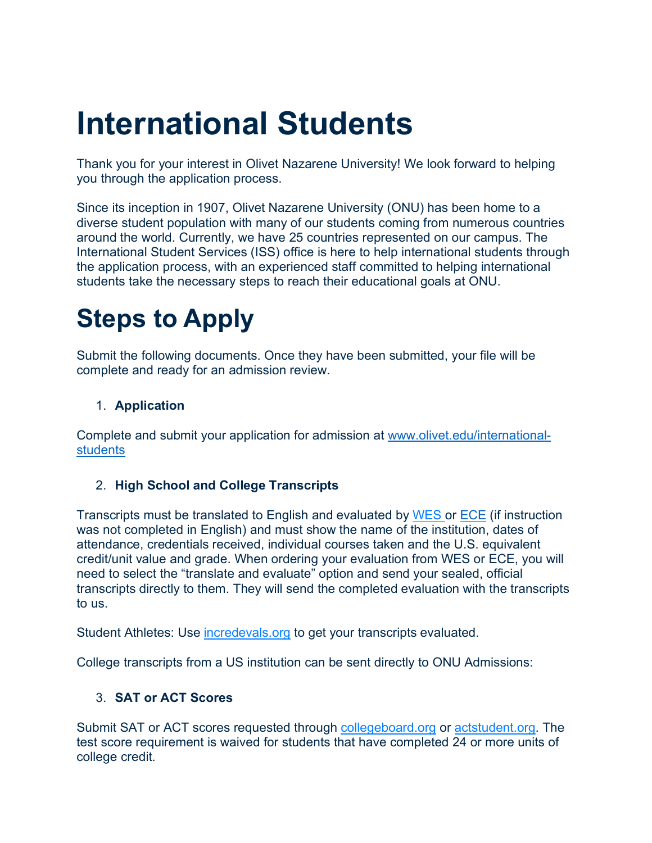## **International Students**

Thank you for your interest in Olivet Nazarene University! We look forward to helping you through the application process.

Since its inception in 1907, Olivet Nazarene University (ONU) has been home to a diverse student population with many of our students coming from numerous countries around the world. Currently, we have 25 countries represented on our campus. The International Student Services (ISS) office is here to help international students through the application process, with an experienced staff committed to helping international students take the necessary steps to reach their educational goals at ONU.

### **Steps to Apply**

Submit the following documents. Once they have been submitted, your file will be complete and ready for an admission review.

#### 1. **Application**

Complete and submit your application for admission at www.olivet.edu/international**students** 

#### 2. **High School and College Transcripts**

Transcripts must be translated to English and evaluated by WES or ECE (if instruction was not completed in English) and must show the name of the institution, dates of attendance, credentials received, individual courses taken and the U.S. equivalent credit/unit value and grade. When ordering your evaluation from WES or ECE, you will need to select the "translate and evaluate" option and send your sealed, official transcripts directly to them. They will send the completed evaluation with the transcripts to us.

Student Athletes: Use incredevals.org to get your transcripts evaluated.

College transcripts from a US institution can be sent directly to ONU Admissions:

#### 3. **SAT or ACT Scores**

Submit SAT or ACT scores requested through collegeboard.org or actstudent.org. The test score requirement is waived for students that have completed 24 or more units of college credit.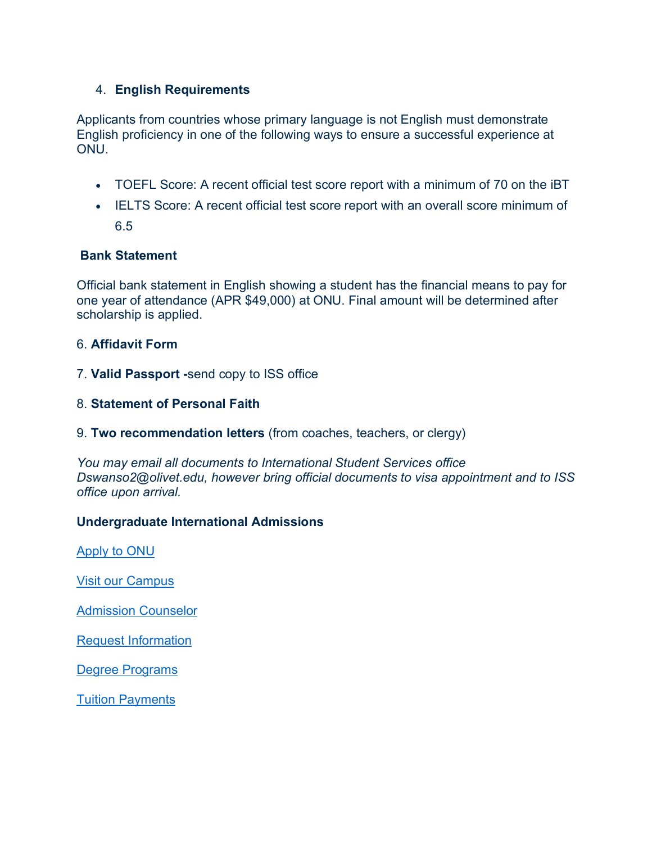#### 4. **English Requirements**

Applicants from countries whose primary language is not English must demonstrate English proficiency in one of the following ways to ensure a successful experience at ONU.

- TOEFL Score: A recent official test score report with a minimum of 70 on the iBT
- IELTS Score: A recent official test score report with an overall score minimum of 6.5

#### **Bank Statement**

Official bank statement in English showing a student has the financial means to pay for one year of attendance (APR \$49,000) at ONU. Final amount will be determined after scholarship is applied.

#### 6. **Affidavit Form**

- 7. **Valid Passport -**send copy to ISS office
- 8. **Statement of Personal Faith**
- 9. **Two recommendation letters** (from coaches, teachers, or clergy)

*You may email all documents to International Student Services office Dswanso2@olivet.edu, however bring official documents to visa appointment and to ISS office upon arrival.*

#### **Undergraduate International Admissions**

Apply to ONU

Visit our Campus

Admission Counselor

Request Information

Degree Programs

Tuition Payments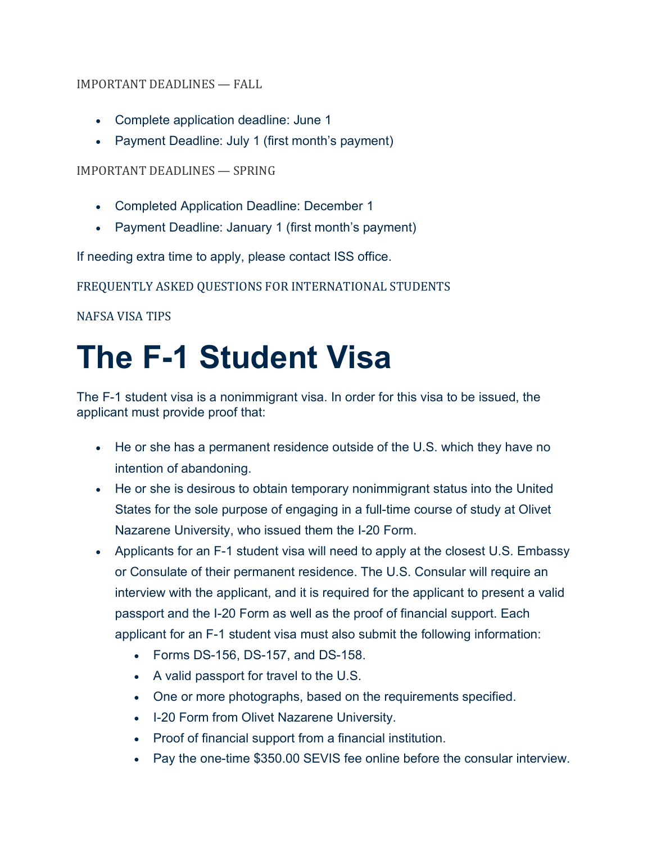#### IMPORTANT DEADLINES — FALL

- Complete application deadline: June 1
- Payment Deadline: July 1 (first month's payment)

#### IMPORTANT DEADLINES — SPRING

- Completed Application Deadline: December 1
- Payment Deadline: January 1 (first month's payment)

If needing extra time to apply, please contact ISS office.

FREQUENTLY ASKED QUESTIONS FOR INTERNATIONAL STUDENTS

NAFSA VISA TIPS

# **The F-1 Student Visa**

The F-1 student visa is a nonimmigrant visa. In order for this visa to be issued, the applicant must provide proof that:

- He or she has a permanent residence outside of the U.S. which they have no intention of abandoning.
- He or she is desirous to obtain temporary nonimmigrant status into the United States for the sole purpose of engaging in a full-time course of study at Olivet Nazarene University, who issued them the I-20 Form.
- Applicants for an F-1 student visa will need to apply at the closest U.S. Embassy or Consulate of their permanent residence. The U.S. Consular will require an interview with the applicant, and it is required for the applicant to present a valid passport and the I-20 Form as well as the proof of financial support. Each applicant for an F-1 student visa must also submit the following information:
	- Forms DS-156, DS-157, and DS-158.
	- A valid passport for travel to the U.S.
	- One or more photographs, based on the requirements specified.
	- I-20 Form from Olivet Nazarene University.
	- Proof of financial support from a financial institution.
	- Pay the one-time \$350.00 SEVIS fee online before the consular interview.